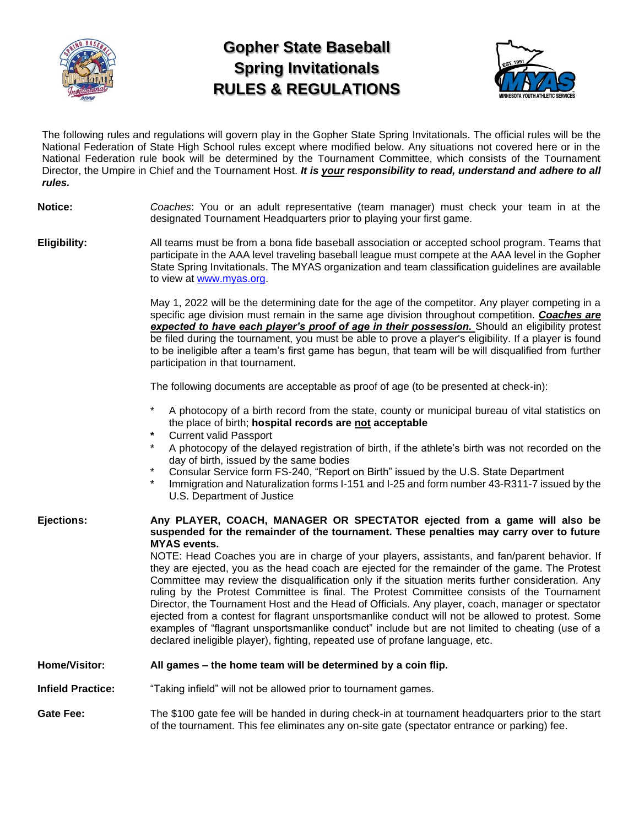

# **Gopher State Baseball Spring Invitationals RULES & REGULATIONS**



The following rules and regulations will govern play in the Gopher State Spring Invitationals. The official rules will be the National Federation of State High School rules except where modified below. Any situations not covered here or in the National Federation rule book will be determined by the Tournament Committee, which consists of the Tournament Director, the Umpire in Chief and the Tournament Host. *It is your responsibility to read, understand and adhere to all rules.*

## **Notice:** *Coaches*: You or an adult representative (team manager) must check your team in at the designated Tournament Headquarters prior to playing your first game.

**Eligibility:** All teams must be from a bona fide baseball association or accepted school program. Teams that participate in the AAA level traveling baseball league must compete at the AAA level in the Gopher State Spring Invitationals. The MYAS organization and team classification guidelines are available to view at [www.myas.org.](http://www.myas.org/)

> May 1, 2022 will be the determining date for the age of the competitor. Any player competing in a specific age division must remain in the same age division throughout competition. *Coaches are*  **expected to have each player's proof of age in their possession.** Should an eligibility protest be filed during the tournament, you must be able to prove a player's eligibility. If a player is found to be ineligible after a team's first game has begun, that team will be will disqualified from further participation in that tournament.

The following documents are acceptable as proof of age (to be presented at check-in):

- A photocopy of a birth record from the state, county or municipal bureau of vital statistics on the place of birth; **hospital records are not acceptable**
- **\*** Current valid Passport
- A photocopy of the delayed registration of birth, if the athlete's birth was not recorded on the day of birth, issued by the same bodies
- Consular Service form FS-240, "Report on Birth" issued by the U.S. State Department
- Immigration and Naturalization forms I-151 and I-25 and form number 43-R311-7 issued by the U.S. Department of Justice

#### **Ejections: Any PLAYER, COACH, MANAGER OR SPECTATOR ejected from a game will also be suspended for the remainder of the tournament. These penalties may carry over to future MYAS events.**

NOTE: Head Coaches you are in charge of your players, assistants, and fan/parent behavior. If they are ejected, you as the head coach are ejected for the remainder of the game. The Protest Committee may review the disqualification only if the situation merits further consideration. Any ruling by the Protest Committee is final. The Protest Committee consists of the Tournament Director, the Tournament Host and the Head of Officials. Any player, coach, manager or spectator ejected from a contest for flagrant unsportsmanlike conduct will not be allowed to protest. Some examples of "flagrant unsportsmanlike conduct" include but are not limited to cheating (use of a declared ineligible player), fighting, repeated use of profane language, etc.

## **Home/Visitor: All games – the home team will be determined by a coin flip.**

**Infield Practice:** "Taking infield" will not be allowed prior to tournament games.

Gate Fee: The \$100 gate fee will be handed in during check-in at tournament headquarters prior to the start of the tournament. This fee eliminates any on-site gate (spectator entrance or parking) fee.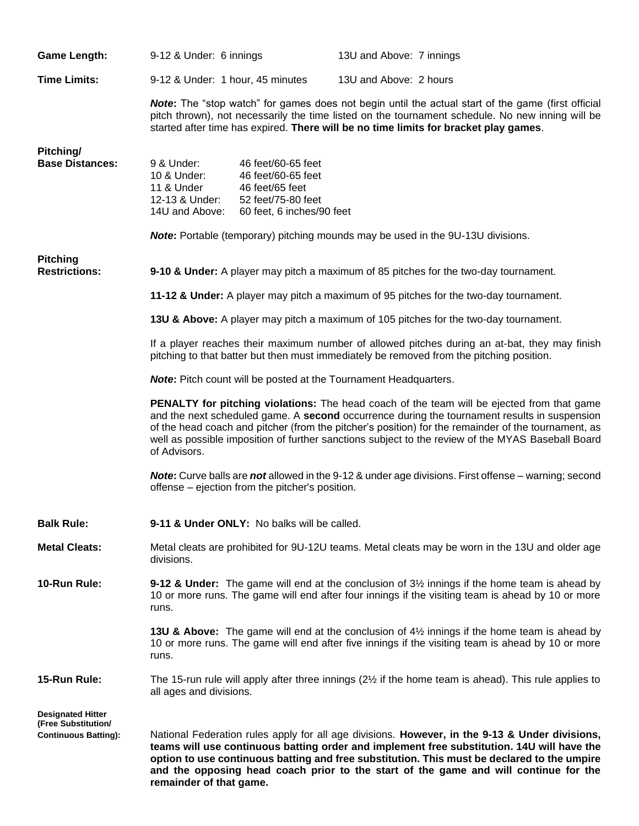| <b>Game Length:</b>                             | 9-12 & Under: 6 innings                                                                                                                                                                                                                                                                                                                                                                                                       |                                                                                                                | 13U and Above: 7 innings |                                                                                                                                                                                                  |  |
|-------------------------------------------------|-------------------------------------------------------------------------------------------------------------------------------------------------------------------------------------------------------------------------------------------------------------------------------------------------------------------------------------------------------------------------------------------------------------------------------|----------------------------------------------------------------------------------------------------------------|--------------------------|--------------------------------------------------------------------------------------------------------------------------------------------------------------------------------------------------|--|
| <b>Time Limits:</b>                             | 9-12 & Under: 1 hour, 45 minutes                                                                                                                                                                                                                                                                                                                                                                                              |                                                                                                                | 13U and Above: 2 hours   |                                                                                                                                                                                                  |  |
|                                                 | <b>Note:</b> The "stop watch" for games does not begin until the actual start of the game (first official<br>pitch thrown), not necessarily the time listed on the tournament schedule. No new inning will be<br>started after time has expired. There will be no time limits for bracket play games.                                                                                                                         |                                                                                                                |                          |                                                                                                                                                                                                  |  |
| Pitching/<br><b>Base Distances:</b>             | 9 & Under:<br>10 & Under:<br>11 & Under<br>12-13 & Under:<br>14U and Above:                                                                                                                                                                                                                                                                                                                                                   | 46 feet/60-65 feet<br>46 feet/60-65 feet<br>46 feet/65 feet<br>52 feet/75-80 feet<br>60 feet, 6 inches/90 feet |                          |                                                                                                                                                                                                  |  |
|                                                 | <b>Note:</b> Portable (temporary) pitching mounds may be used in the 9U-13U divisions.                                                                                                                                                                                                                                                                                                                                        |                                                                                                                |                          |                                                                                                                                                                                                  |  |
| <b>Pitching</b><br><b>Restrictions:</b>         |                                                                                                                                                                                                                                                                                                                                                                                                                               |                                                                                                                |                          | 9-10 & Under: A player may pitch a maximum of 85 pitches for the two-day tournament.                                                                                                             |  |
|                                                 | 11-12 & Under: A player may pitch a maximum of 95 pitches for the two-day tournament.<br>13U & Above: A player may pitch a maximum of 105 pitches for the two-day tournament.<br>If a player reaches their maximum number of allowed pitches during an at-bat, they may finish<br>pitching to that batter but then must immediately be removed from the pitching position.                                                    |                                                                                                                |                          |                                                                                                                                                                                                  |  |
|                                                 |                                                                                                                                                                                                                                                                                                                                                                                                                               |                                                                                                                |                          |                                                                                                                                                                                                  |  |
|                                                 |                                                                                                                                                                                                                                                                                                                                                                                                                               |                                                                                                                |                          |                                                                                                                                                                                                  |  |
|                                                 | <b>Note:</b> Pitch count will be posted at the Tournament Headquarters.                                                                                                                                                                                                                                                                                                                                                       |                                                                                                                |                          |                                                                                                                                                                                                  |  |
|                                                 | <b>PENALTY for pitching violations:</b> The head coach of the team will be ejected from that game<br>and the next scheduled game. A second occurrence during the tournament results in suspension<br>of the head coach and pitcher (from the pitcher's position) for the remainder of the tournament, as<br>well as possible imposition of further sanctions subject to the review of the MYAS Baseball Board<br>of Advisors. |                                                                                                                |                          |                                                                                                                                                                                                  |  |
|                                                 | <b>Note:</b> Curve balls are <b>not</b> allowed in the 9-12 & under age divisions. First offense – warning; second<br>offense – ejection from the pitcher's position.                                                                                                                                                                                                                                                         |                                                                                                                |                          |                                                                                                                                                                                                  |  |
| <b>Balk Rule:</b>                               | 9-11 & Under ONLY: No balks will be called.                                                                                                                                                                                                                                                                                                                                                                                   |                                                                                                                |                          |                                                                                                                                                                                                  |  |
| <b>Metal Cleats:</b>                            | Metal cleats are prohibited for 9U-12U teams. Metal cleats may be worn in the 13U and older age<br>divisions.                                                                                                                                                                                                                                                                                                                 |                                                                                                                |                          |                                                                                                                                                                                                  |  |
| 10-Run Rule:                                    | <b>9-12 &amp; Under:</b> The game will end at the conclusion of $3\frac{1}{2}$ innings if the home team is ahead by<br>10 or more runs. The game will end after four innings if the visiting team is ahead by 10 or more<br>runs.                                                                                                                                                                                             |                                                                                                                |                          |                                                                                                                                                                                                  |  |
|                                                 | runs.                                                                                                                                                                                                                                                                                                                                                                                                                         |                                                                                                                |                          | 13U & Above: The game will end at the conclusion of 4½ innings if the home team is ahead by<br>10 or more runs. The game will end after five innings if the visiting team is ahead by 10 or more |  |
| 15-Run Rule:                                    | all ages and divisions.                                                                                                                                                                                                                                                                                                                                                                                                       |                                                                                                                |                          | The 15-run rule will apply after three innings $(2\frac{1}{2})$ if the home team is ahead). This rule applies to                                                                                 |  |
| <b>Designated Hitter</b><br>(Free Substitution/ |                                                                                                                                                                                                                                                                                                                                                                                                                               |                                                                                                                |                          |                                                                                                                                                                                                  |  |
| <b>Continuous Batting):</b>                     | National Federation rules apply for all age divisions. However, in the 9-13 & Under divisions,<br>teams will use continuous batting order and implement free substitution. 14U will have the<br>option to use continuous batting and free substitution. This must be declared to the umpire<br>and the opposing head coach prior to the start of the game and will continue for the<br>remainder of that game.                |                                                                                                                |                          |                                                                                                                                                                                                  |  |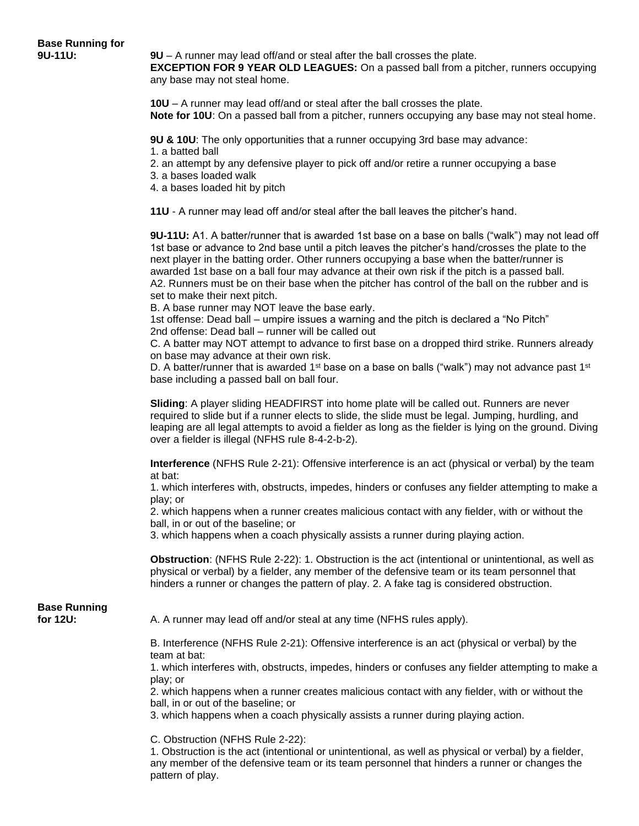**9U-11U: 9U** – A runner may lead off/and or steal after the ball crosses the plate.

**EXCEPTION FOR 9 YEAR OLD LEAGUES:** On a passed ball from a pitcher, runners occupying any base may not steal home.

**10U** – A runner may lead off/and or steal after the ball crosses the plate. **Note for 10U**: On a passed ball from a pitcher, runners occupying any base may not steal home.

**9U & 10U**: The only opportunities that a runner occupying 3rd base may advance: 1. a batted ball

- 2. an attempt by any defensive player to pick off and/or retire a runner occupying a base
- 3. a bases loaded walk
- 4. a bases loaded hit by pitch

**11U** - A runner may lead off and/or steal after the ball leaves the pitcher's hand.

**9U-11U:** A1. A batter/runner that is awarded 1st base on a base on balls ("walk") may not lead off 1st base or advance to 2nd base until a pitch leaves the pitcher's hand/crosses the plate to the next player in the batting order. Other runners occupying a base when the batter/runner is awarded 1st base on a ball four may advance at their own risk if the pitch is a passed ball. A2. Runners must be on their base when the pitcher has control of the ball on the rubber and is set to make their next pitch.

B. A base runner may NOT leave the base early.

1st offense: Dead ball – umpire issues a warning and the pitch is declared a "No Pitch" 2nd offense: Dead ball – runner will be called out

C. A batter may NOT attempt to advance to first base on a dropped third strike. Runners already on base may advance at their own risk.

D. A batter/runner that is awarded 1<sup>st</sup> base on a base on balls ("walk") may not advance past 1<sup>st</sup> base including a passed ball on ball four.

**Sliding**: A player sliding HEADFIRST into home plate will be called out. Runners are never required to slide but if a runner elects to slide, the slide must be legal. Jumping, hurdling, and leaping are all legal attempts to avoid a fielder as long as the fielder is lying on the ground. Diving over a fielder is illegal (NFHS rule 8-4-2-b-2).

**Interference** (NFHS Rule 2-21): Offensive interference is an act (physical or verbal) by the team at bat:

1. which interferes with, obstructs, impedes, hinders or confuses any fielder attempting to make a play; or

2. which happens when a runner creates malicious contact with any fielder, with or without the ball, in or out of the baseline; or

3. which happens when a coach physically assists a runner during playing action.

**Obstruction**: (NFHS Rule 2-22): 1. Obstruction is the act (intentional or unintentional, as well as physical or verbal) by a fielder, any member of the defensive team or its team personnel that hinders a runner or changes the pattern of play. 2. A fake tag is considered obstruction.

**Base Running** 

**for 12U:** A. A runner may lead off and/or steal at any time (NFHS rules apply).

B. Interference (NFHS Rule 2-21): Offensive interference is an act (physical or verbal) by the team at bat:

1. which interferes with, obstructs, impedes, hinders or confuses any fielder attempting to make a play; or

2. which happens when a runner creates malicious contact with any fielder, with or without the ball, in or out of the baseline; or

3. which happens when a coach physically assists a runner during playing action.

C. Obstruction (NFHS Rule 2-22):

1. Obstruction is the act (intentional or unintentional, as well as physical or verbal) by a fielder, any member of the defensive team or its team personnel that hinders a runner or changes the pattern of play.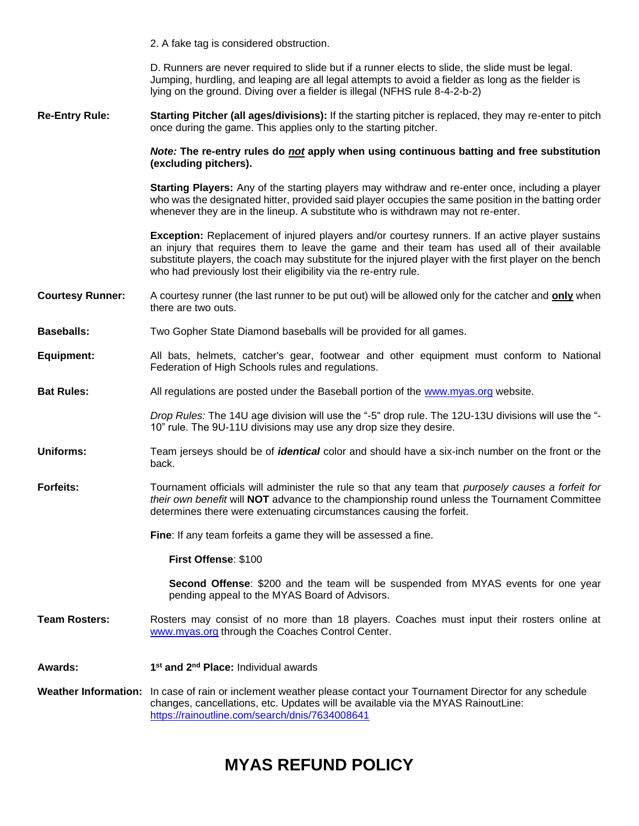2. A fake tag is considered obstruction. D. Runners are never required to slide but if a runner elects to slide, the slide must be legal. Jumping, hurdling, and leaping are all legal attempts to avoid a fielder as long as the fielder is lying on the ground. Diving over a fielder is illegal (NFHS rule 8-4-2-b-2) **Re-Entry Rule: Starting Pitcher (all ages/divisions):** If the starting pitcher is replaced, they may re-enter to pitch once during the game. This applies only to the starting pitcher. *Note:* **The re-entry rules do** *not* **apply when using continuous batting and free substitution (excluding pitchers). Starting Players:** Any of the starting players may withdraw and re-enter once, including a player who was the designated hitter, provided said player occupies the same position in the batting order whenever they are in the lineup. A substitute who is withdrawn may not re-enter. **Exception:** Replacement of injured players and/or courtesy runners. If an active player sustains an injury that requires them to leave the game and their team has used all of their available substitute players, the coach may substitute for the injured player with the first player on the bench who had previously lost their eligibility via the re-entry rule. **Courtesy Runner:** A courtesy runner (the last runner to be put out) will be allowed only for the catcher and **only** when there are two outs. **Baseballs:** Two Gopher State Diamond baseballs will be provided for all games. **Equipment:** All bats, helmets, catcher's gear, footwear and other equipment must conform to National Federation of High Schools rules and regulations. **Bat Rules:** All regulations are posted under the Baseball portion of the [www.myas.org](http://www.myas.org/) website. *Drop Rules:* The 14U age division will use the "-5" drop rule. The 12U-13U divisions will use the "- 10" rule. The 9U-11U divisions may use any drop size they desire. **Uniforms:** Team jerseys should be of *identical* color and should have a six-inch number on the front or the back. **Forfeits:** Tournament officials will administer the rule so that any team that *purposely causes a forfeit for their own benefit* will **NOT** advance to the championship round unless the Tournament Committee determines there were extenuating circumstances causing the forfeit. **Fine**: If any team forfeits a game they will be assessed a fine. **First Offense**: \$100 **Second Offense**: \$200 and the team will be suspended from MYAS events for one year pending appeal to the MYAS Board of Advisors. **Team Rosters:** Rosters may consist of no more than 18 players. Coaches must input their rosters online at [www.myas.org](http://www.myas.org/) through the Coaches Control Center. **Awards: 1 st and 2nd Place:** Individual awards **Weather Information:** In case of rain or inclement weather please contact your Tournament Director for any schedule changes, cancellations, etc. Updates will be available via the MYAS RainoutLine: <https://rainoutline.com/search/dnis/7634008641>

# **MYAS REFUND POLICY**